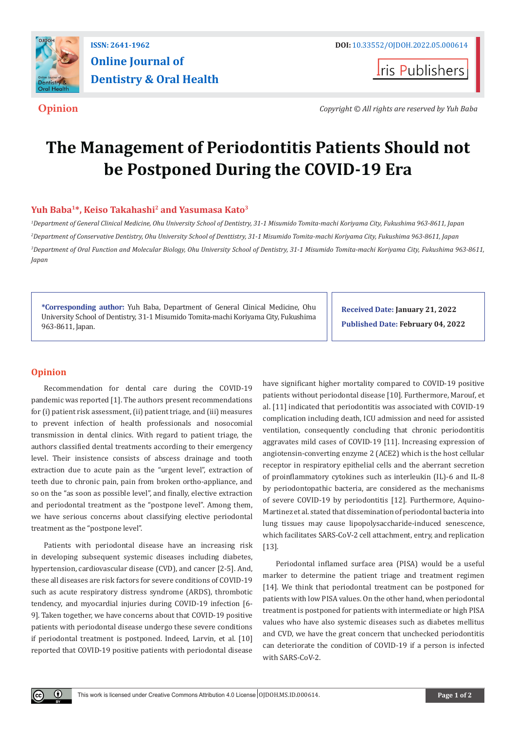

# **Online Journal of Dentistry & Oral Health**

**I**ris Publishers

**Opinion** *Copyright © All rights are reserved by Yuh Baba*

# **The Management of Periodontitis Patients Should not be Postponed During the COVID-19 Era**

## **Yuh Baba1\*, Keiso Takahashi2 and Yasumasa Kato3**

 *Department of General Clinical Medicine, Ohu University School of Dentistry, 31-1 Misumido Tomita-machi Koriyama City, Fukushima 963-8611, Japan Department of Conservative Dentistry, Ohu University School of Denttistry, 31-1 Misumido Tomita-machi Koriyama City, Fukushima 963-8611, Japan Department of Oral Function and Molecular Biology, Ohu University School of Dentistry, 31-1 Misumido Tomita-machi Koriyama City, Fukushima 963-8611, Japan* 

**\*Corresponding author:** Yuh Baba, Department of General Clinical Medicine, Ohu University School of Dentistry, 31-1 Misumido Tomita-machi Koriyama City, Fukushima 963-8611, Japan.

**Received Date: January 21, 2022 Published Date: February 04, 2022**

## **Opinion**

 $^{\circ}$ 

Recommendation for dental care during the COVID-19 pandemic was reported [1]. The authors present recommendations for (i) patient risk assessment, (ii) patient triage, and (iii) measures to prevent infection of health professionals and nosocomial transmission in dental clinics. With regard to patient triage, the authors classified dental treatments according to their emergency level. Their insistence consists of abscess drainage and tooth extraction due to acute pain as the "urgent level", extraction of teeth due to chronic pain, pain from broken ortho-appliance, and so on the "as soon as possible level", and finally, elective extraction and periodontal treatment as the "postpone level". Among them, we have serious concerns about classifying elective periodontal treatment as the "postpone level".

Patients with periodontal disease have an increasing risk in developing subsequent systemic diseases including diabetes, hypertension, cardiovascular disease (CVD), and cancer [2-5]. And, these all diseases are risk factors for severe conditions of COVID-19 such as acute respiratory distress syndrome (ARDS), thrombotic tendency, and myocardial injuries during COVID-19 infection [6- 9]. Taken together, we have concerns about that COVID-19 positive patients with periodontal disease undergo these severe conditions if periodontal treatment is postponed. Indeed, Larvin, et al. [10] reported that COVID-19 positive patients with periodontal disease have significant higher mortality compared to COVID-19 positive patients without periodontal disease [10]. Furthermore, Marouf, et al. [11] indicated that periodontitis was associated with COVID-19 complication including death, ICU admission and need for assisted ventilation, consequently concluding that chronic periodontitis aggravates mild cases of COVID-19 [11]. Increasing expression of angiotensin-converting enzyme 2 (ACE2) which is the host cellular receptor in respiratory epithelial cells and the aberrant secretion of proinflammatory cytokines such as interleukin (IL)-6 and IL-8 by periodontopathic bacteria, are considered as the mechanisms of severe COVID-19 by periodontitis [12]. Furthermore, Aquino-Martinez et al. stated that dissemination of periodontal bacteria into lung tissues may cause lipopolysaccharide-induced senescence, which facilitates SARS-CoV-2 cell attachment, entry, and replication [13].

Periodontal inflamed surface area (PISA) would be a useful marker to determine the patient triage and treatment regimen [14]. We think that periodontal treatment can be postponed for patients with low PISA values. On the other hand, when periodontal treatment is postponed for patients with intermediate or high PISA values who have also systemic diseases such as diabetes mellitus and CVD, we have the great concern that unchecked periodontitis can deteriorate the condition of COVID-19 if a person is infected with SARS-CoV-2.